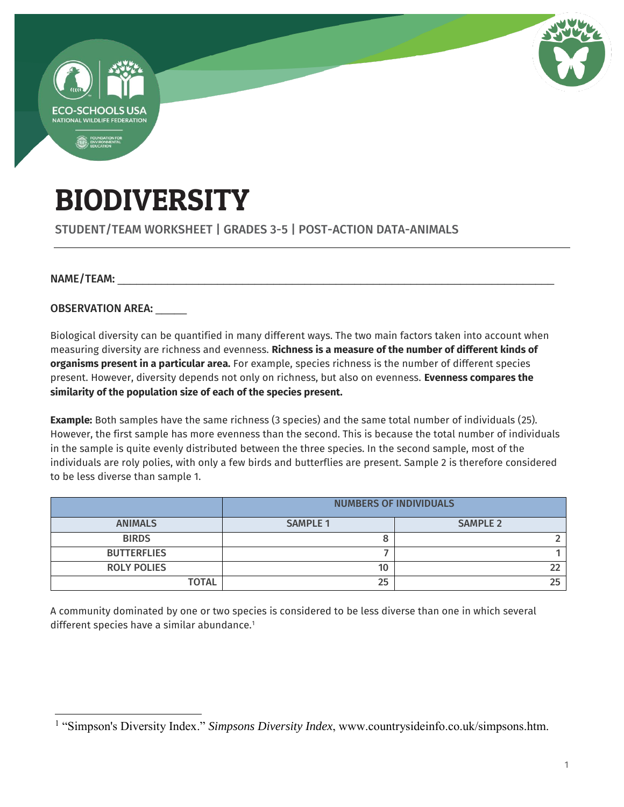

# BIODIVERSITY

STUDENT/TEAM WORKSHEET | GRADES 3-5 | POST-ACTION DATA-ANIMALS

#### NAME/TEAM:

 $\overline{a}$ 

OBSERVATION AREA:

Biological diversity can be quantified in many different ways. The two main factors taken into account when measuring diversity are richness and evenness. **Richness is a measure of the number of different kinds of organisms present in a particular area.** For example, species richness is the number of different species present. However, diversity depends not only on richness, but also on evenness. **Evenness compares the similarity of the population size of each of the species present.**

**Example:** Both samples have the same richness (3 species) and the same total number of individuals (25). However, the first sample has more evenness than the second. This is because the total number of individuals in the sample is quite evenly distributed between the three species. In the second sample, most of the individuals are roly polies, with only a few birds and butterflies are present. Sample 2 is therefore considered to be less diverse than sample 1.

|                    | <b>NUMBERS OF INDIVIDUALS</b> |                 |  |
|--------------------|-------------------------------|-----------------|--|
| <b>ANIMALS</b>     | <b>SAMPLE 1</b>               | <b>SAMPLE 2</b> |  |
| <b>BIRDS</b>       |                               |                 |  |
| <b>BUTTERFLIES</b> |                               |                 |  |
| <b>ROLY POLIES</b> | 10                            |                 |  |
| <b>TOTAL</b>       | 25                            |                 |  |

A community dominated by one or two species is considered to be less diverse than one in which several different species have a similar abundance.<sup>1</sup>

<sup>&</sup>lt;sup>1</sup> "Simpson's Diversity Index." *Simpsons Diversity Index*, www.countrysideinfo.co.uk/simpsons.htm.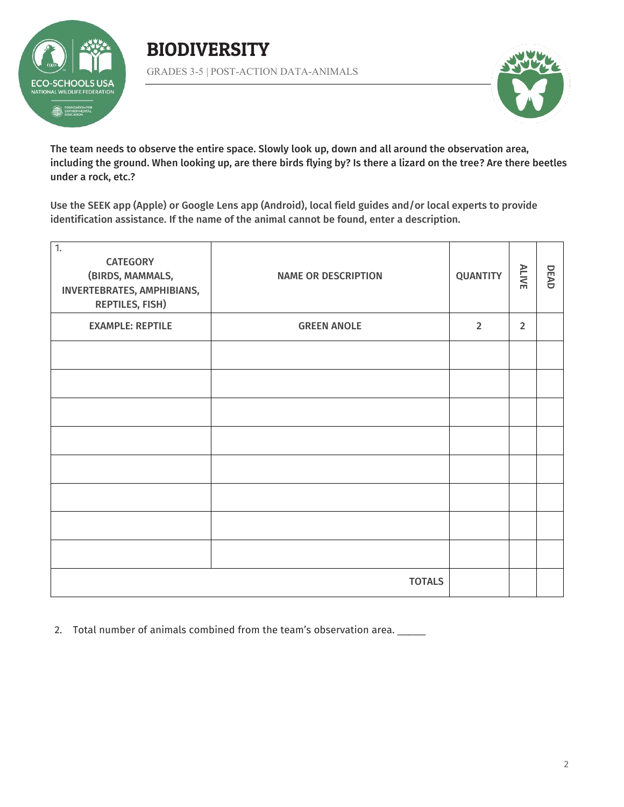

## BIODIVERSITY GRADES 3-5 | POST-ACTION DATA-ANIMALS



The team needs to observe the entire space. Slowly look up, down and all around the observation area, including the ground. When looking up, are there birds flying by? Is there a lizard on the tree? Are there beetles under a rock, etc.?

Use the SEEK app (Apple) or Google Lens app (Android), local field guides and/or local experts to provide identification assistance. If the name of the animal cannot be found, enter a description.

| $\overline{1}$ .<br><b>CATEGORY</b><br>(BIRDS, MAMMALS,<br>INVERTEBRATES, AMPHIBIANS,<br><b>REPTILES, FISH)</b> | <b>NAME OR DESCRIPTION</b> | <b>QUANTITY</b> | ALIVE          | DEAD |
|-----------------------------------------------------------------------------------------------------------------|----------------------------|-----------------|----------------|------|
| <b>EXAMPLE: REPTILE</b>                                                                                         | <b>GREEN ANOLE</b>         | $\overline{2}$  | $\overline{2}$ |      |
|                                                                                                                 |                            |                 |                |      |
|                                                                                                                 |                            |                 |                |      |
|                                                                                                                 |                            |                 |                |      |
|                                                                                                                 |                            |                 |                |      |
|                                                                                                                 |                            |                 |                |      |
|                                                                                                                 |                            |                 |                |      |
|                                                                                                                 |                            |                 |                |      |
|                                                                                                                 |                            |                 |                |      |
| <b>TOTALS</b>                                                                                                   |                            |                 |                |      |

2. Total number of animals combined from the team's observation area. \_\_\_\_\_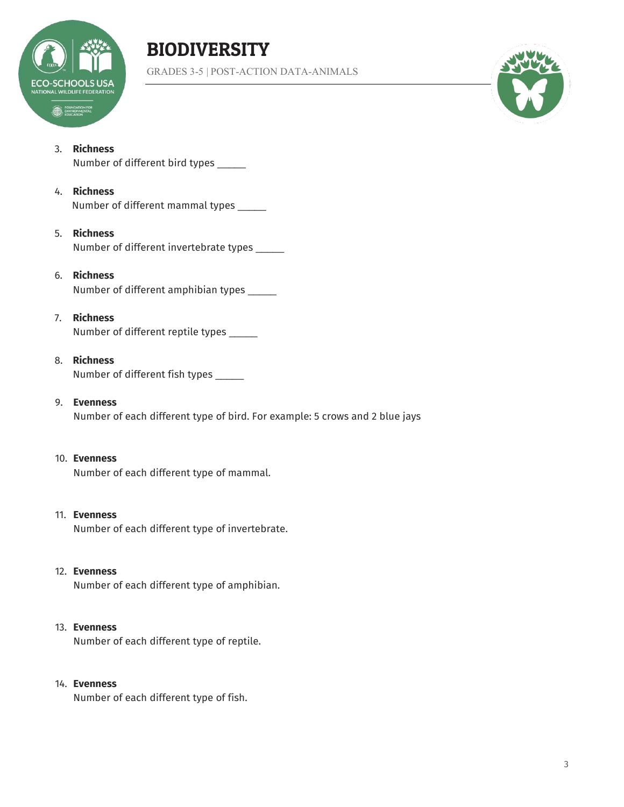

# BIODIVERSITY

GRADES 3-5 | POST-ACTION DATA-ANIMALS



#### 3. **Richness**

Number of different bird types \_\_\_\_\_

#### 4. **Richness**

Number of different mammal types \_\_\_\_\_

#### 5. **Richness**

Number of different invertebrate types \_\_\_\_\_

#### 6. **Richness**

Number of different amphibian types \_\_\_\_\_

#### 7. **Richness**

Number of different reptile types \_\_\_\_\_

#### 8. **Richness**

Number of different fish types \_\_\_\_\_

#### 9. **Evenness**

Number of each different type of bird. For example: 5 crows and 2 blue jays

#### 10. **Evenness**

Number of each different type of mammal.

### 11. **Evenness**

Number of each different type of invertebrate.

#### 12. **Evenness**

Number of each different type of amphibian.

#### 13. **Evenness**

Number of each different type of reptile.

#### 14. **Evenness**

Number of each different type of fish.